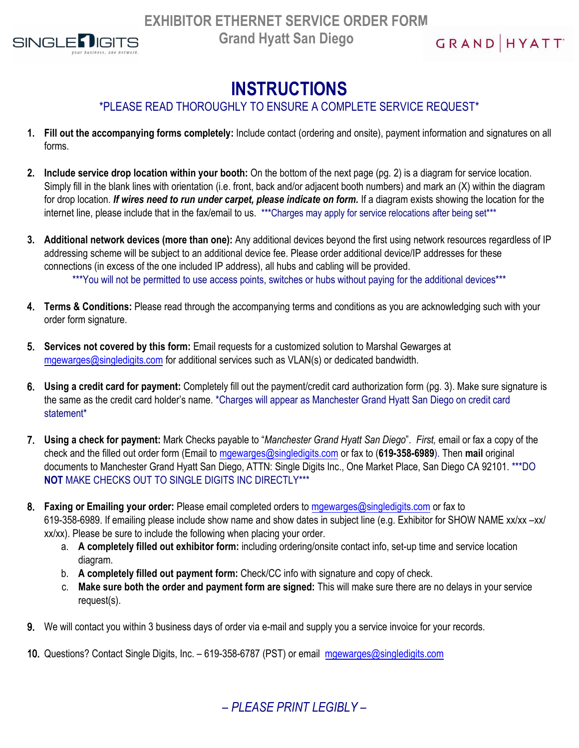

$$
\begin{array}{c}\nG \mathsf{R} \mathsf{AND} \mid \mathsf{HYATT}^*\n\end{array}
$$

# **INSTRUCTIONS**

### \*PLEASE READ THOROUGHLY TO ENSURE A COMPLETE SERVICE REQUEST\*

- **1. Fill out the accompanying forms completely:** Include contact (ordering and onsite), payment information and signatures on all forms.
- **2. Include service drop location within your booth:** On the bottom of the next page (pg. 2) is a diagram for service location. Simply fill in the blank lines with orientation (i.e. front, back and/or adjacent booth numbers) and mark an (X) within the diagram for drop location. *If wires need to run under carpet, please indicate on form.* If a diagram exists showing the location for the internet line, please include that in the fax/email to us. \*\*\*Charges may apply for service relocations after being set\*\*\*
- **3. Additional network devices (more than one):** Any additional devices beyond the first using network resources regardless of IP addressing scheme will be subject to an additional device fee. Please order additional device/IP addresses for these connections (in excess of the one included IP address), all hubs and cabling will be provided. \*\*\*You will not be permitted to use access points, switches or hubs without paying for the additional devices\*\*\*
- 4. **Terms & Conditions:** Please read through the accompanying terms and conditions as you are acknowledging such with your order form signature.
- 5. **Services not covered by this form:** Email requests for a customized solution to Marshal Gewarges at [mgewarges@singledigits.com](mailto:mgewarges@singledigits.com) for additional services such as VLAN(s) or dedicated bandwidth.
- 6. **Using a credit card for payment:** Completely fill out the payment/credit card authorization form (pg. 3). Make sure signature is the same as the credit card holder's name. \*Charges will appear as Manchester Grand Hyatt San Diego on credit card statement\*
- 7. **Using a check for payment:** Mark Checks payable to "*Manchester Grand Hyatt San Diego*". *First,* email or fax a copy of the check and the filled out order form (Email to [mgewarges@singledigits.com](mailto:mgewarges@singledigits.com) or fax to (**619-358-6989**). Then **mail** original documents to Manchester Grand Hyatt San Diego, ATTN: Single Digits Inc., One Market Place, San Diego CA 92101. \*\*\*DO **NOT** MAKE CHECKS OUT TO SINGLE DIGITS INC DIRECTLY\*\*\*
- 8. **Faxing or Emailing your order:** Please email completed orders to [mgewarges@singledigits.com](mailto:mgewarges@singledigits.com) or fax to 619-358-6989. If emailing please include show name and show dates in subject line (e.g. Exhibitor for SHOW NAME xx/xx –xx/ xx/xx). Please be sure to include the following when placing your order.
	- a. **A completely filled out exhibitor form:** including ordering/onsite contact info, set-up time and service location diagram.
	- b. **A completely filled out payment form:** Check/CC info with signature and copy of check.
	- c. **Make sure both the order and payment form are signed:** This will make sure there are no delays in your service request(s).
- 9. We will contact you within 3 business days of order via e-mail and supply you a service invoice for your records.
- 10. Questions? Contact Single Digits, Inc. 619-358-6787 (PST) or email [mgewarges@singledigits.com](mailto:mgewarges@singledigits.com)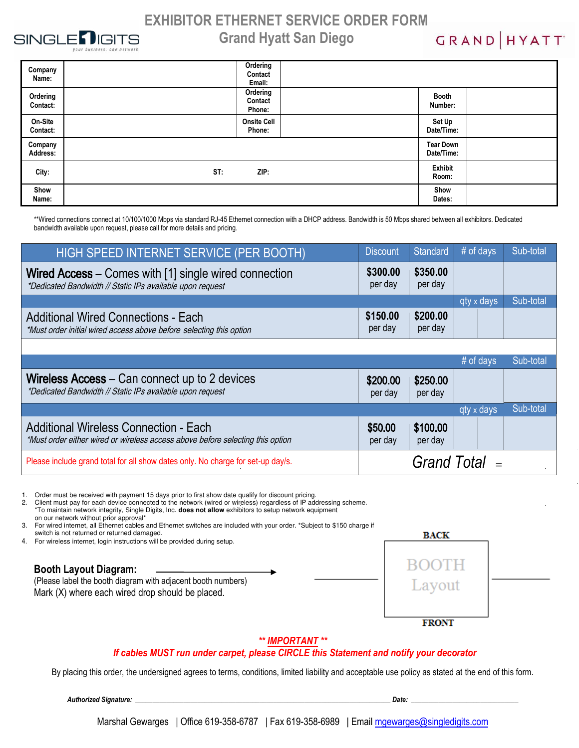

GRAND HYATT

| Company<br>Name:     | Ordering<br>Contact<br>Email: |                                |  |
|----------------------|-------------------------------|--------------------------------|--|
| Ordering<br>Contact: | Ordering<br>Contact<br>Phone: | Booth<br>Number:               |  |
| On-Site<br>Contact:  | <b>Onsite Cell</b><br>Phone:  | Set Up<br>Date/Time:           |  |
| Company<br>Address:  |                               | <b>Tear Down</b><br>Date/Time: |  |
| City:                | ZIP:<br>ST:                   |                                |  |
| Show<br>Name:        |                               | Show<br>Dates:                 |  |

\*\*Wired connections connect at 10/100/1000 Mbps via standard RJ-45 Ethernet connection with a DHCP address. Bandwidth is 50 Mbps shared between all exhibitors. Dedicated bandwidth available upon request, please call for more details and pricing.

| HIGH SPEED INTERNET SERVICE (PER BOOTH)                                                                            | <b>Discount</b>     | Standard            | $#$ of days | Sub-total |
|--------------------------------------------------------------------------------------------------------------------|---------------------|---------------------|-------------|-----------|
| Wired Access – Comes with [1] single wired connection<br>*Dedicated Bandwidth // Static IPs available upon request |                     | \$350.00<br>per day |             |           |
|                                                                                                                    |                     |                     | qty x days  | Sub-total |
| <b>Additional Wired Connections - Each</b><br>*Must order initial wired access above before selecting this option  | \$150.00<br>per day | \$200.00<br>per day |             |           |

|                                                                                                                                |                     |                     | $#$ of days | Sub-total |
|--------------------------------------------------------------------------------------------------------------------------------|---------------------|---------------------|-------------|-----------|
| Wireless Access – Can connect up to 2 devices<br>*Dedicated Bandwidth // Static IPs available upon request                     | \$200.00<br>per day | \$250.00<br>per day |             |           |
|                                                                                                                                |                     |                     | qty x days  | Sub-total |
| <b>Additional Wireless Connection - Each</b><br>*Must order either wired or wireless access above before selecting this option | \$50.00<br>per day  | \$100.00<br>per day |             |           |
| Please include grand total for all show dates only. No charge for set-up day/s.                                                | Grand Total $=$     |                     |             |           |

1. Order must be received with payment 15 days prior to first show date qualify for discount pricing.<br>2. Client must pay for each device connected to the network (wired or wireless) regardless of IP add

2. Client must pay for each device connected to the network (wired or wireless) regardless of IP addressing scheme.<br>\*To maintain network integrity, Single Digits, Inc. does not allow exhibitors to setup network equipment

on our network without prior approval\* 3. For wired internet, all Ethernet cables and Ethernet switches are included with your order. \*Subject to \$150 charge if switch is not returned or returned damaged.

4. For wireless internet, login instructions will be provided during setup.

**Booth Layout Diagram:**  (Please label the booth diagram with adjacent booth numbers)

Mark (X) where each wired drop should be placed.

| <b>BACK</b>     |
|-----------------|
| BOOTH<br>Layout |

**FRONT** 

#### *\*\* IMPORTANT \*\**

#### *If cables MUST run under carpet, please CIRCLE this Statement and notify your decorator*

By placing this order, the undersigned agrees to terms, conditions, limited liability and acceptable use policy as stated at the end of this form.

*Authorized Signature: \_\_\_\_\_\_\_\_\_\_\_\_\_\_\_\_\_\_\_\_\_\_\_\_\_\_\_\_\_\_\_\_\_\_\_\_\_\_\_\_\_\_\_\_\_\_\_\_\_\_\_\_\_\_\_\_\_\_\_\_\_\_\_\_\_\_\_\_\_\_\_\_\_\_ Date: \_\_\_\_\_\_\_\_\_\_\_\_\_\_\_\_\_\_\_\_\_\_\_\_\_\_\_\_\_\_\_*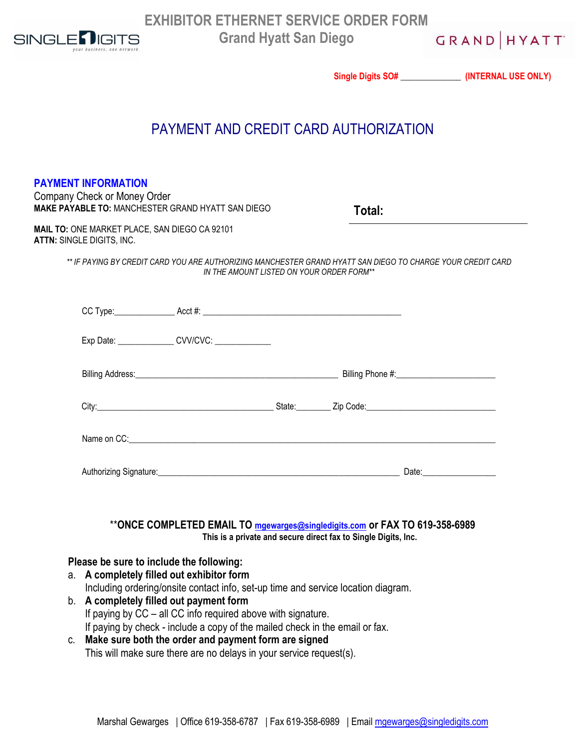

GRAND HYATT

|    |                                                                            |                                                                                                                                                                                                                                |                                                                |       | Single Digits SO# ________________ (INTERNAL USE ONLY) |
|----|----------------------------------------------------------------------------|--------------------------------------------------------------------------------------------------------------------------------------------------------------------------------------------------------------------------------|----------------------------------------------------------------|-------|--------------------------------------------------------|
|    |                                                                            | PAYMENT AND CREDIT CARD AUTHORIZATION                                                                                                                                                                                          |                                                                |       |                                                        |
|    | <b>PAYMENT INFORMATION</b><br>Company Check or Money Order                 | <b>MAKE PAYABLE TO: MANCHESTER GRAND HYATT SAN DIEGO</b>                                                                                                                                                                       | Total:                                                         |       |                                                        |
|    | MAIL TO: ONE MARKET PLACE, SAN DIEGO CA 92101<br>ATTN: SINGLE DIGITS, INC. |                                                                                                                                                                                                                                |                                                                |       |                                                        |
|    |                                                                            | ** IF PAYING BY CREDIT CARD YOU ARE AUTHORIZING MANCHESTER GRAND HYATT SAN DIEGO TO CHARGE YOUR CREDIT CARD<br>IN THE AMOUNT LISTED ON YOUR ORDER FORM**                                                                       |                                                                |       |                                                        |
|    |                                                                            | CC Type: Acct #: Acct #:                                                                                                                                                                                                       |                                                                |       |                                                        |
|    |                                                                            | Exp Date: _________________ CVV/CVC: _____________                                                                                                                                                                             |                                                                |       |                                                        |
|    |                                                                            |                                                                                                                                                                                                                                |                                                                |       |                                                        |
|    |                                                                            |                                                                                                                                                                                                                                |                                                                |       |                                                        |
|    |                                                                            | Name on CC: the contract of the contract of the contract of the contract of the contract of the contract of the contract of the contract of the contract of the contract of the contract of the contract of the contract of th |                                                                |       |                                                        |
|    | Authorizing Signature:                                                     |                                                                                                                                                                                                                                |                                                                | Date: |                                                        |
|    |                                                                            | **ONCE COMPLETED EMAIL TO mgewarges@singledigits.com or FAX TO 619-358-6989                                                                                                                                                    | This is a private and secure direct fax to Single Digits, Inc. |       |                                                        |
|    |                                                                            | Please be sure to include the following:                                                                                                                                                                                       |                                                                |       |                                                        |
| a. |                                                                            | A completely filled out exhibitor form<br>Including ordering/onsite contact info, set-up time and service location diagram.                                                                                                    |                                                                |       |                                                        |
|    |                                                                            | b. A completely filled out payment form<br>If paying by CC - all CC info required above with signature.<br>If paying by check - include a copy of the mailed check in the email or fax.                                        |                                                                |       |                                                        |
| C. |                                                                            | Make sure both the order and payment form are signed                                                                                                                                                                           |                                                                |       |                                                        |

This will make sure there are no delays in your service request(s).